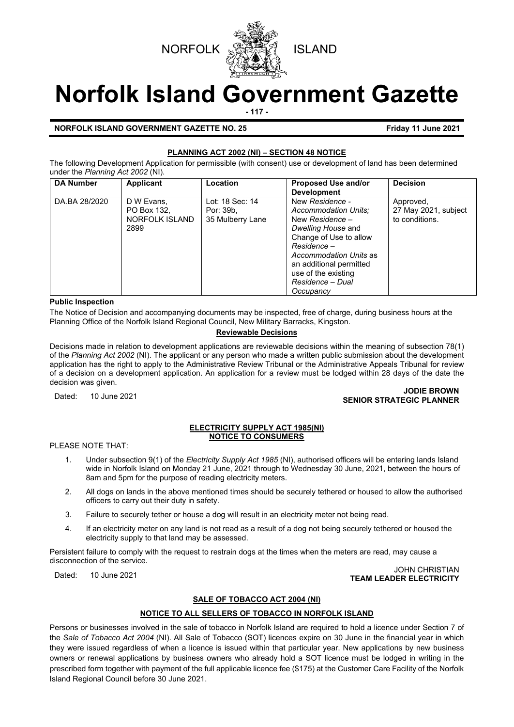



# **Norfolk Island Government Gazette**

**- 117 -**

#### **NORFOLK ISLAND GOVERNMENT GAZETTE NO. 25 Friday 11 June 2021**

#### **PLANNING ACT 2002 (NI) – SECTION 48 NOTICE**

The following Development Application for permissible (with consent) use or development of land has been determined under the *Planning Act 2002* (NI).

| <b>DA Number</b> | <b>Applicant</b>                                    | Location                                         | <b>Proposed Use and/or</b><br><b>Development</b>                                                                                                                                                                                       | <b>Decision</b>                                     |
|------------------|-----------------------------------------------------|--------------------------------------------------|----------------------------------------------------------------------------------------------------------------------------------------------------------------------------------------------------------------------------------------|-----------------------------------------------------|
| DA.BA 28/2020    | D W Evans,<br>PO Box 132.<br>NORFOLK ISLAND<br>2899 | Lot: 18 Sec: 14<br>Por: 39b,<br>35 Mulberry Lane | New Residence -<br>Accommodation Units:<br>New Residence -<br>Dwelling House and<br>Change of Use to allow<br>Residence –<br>Accommodation Units as<br>an additional permitted<br>use of the existing<br>Residence - Dual<br>Occupancy | Approved,<br>27 May 2021, subject<br>to conditions. |

#### **Public Inspection**

The Notice of Decision and accompanying documents may be inspected, free of charge, during business hours at the Planning Office of the Norfolk Island Regional Council, New Military Barracks, Kingston.

#### **Reviewable Decisions**

Decisions made in relation to development applications are reviewable decisions within the meaning of subsection 78(1) of the *Planning Act 2002* (NI). The applicant or any person who made a written public submission about the development application has the right to apply to the Administrative Review Tribunal or the Administrative Appeals Tribunal for review of a decision on a development application. An application for a review must be lodged within 28 days of the date the decision was given.

Dated: 10 June 2021 **JODIE BROWN SENIOR STRATEGIC PLANNER**

#### **ELECTRICITY SUPPLY ACT 1985(NI) NOTICE TO CONSUMERS**

#### PLEASE NOTE THAT:

- 1. Under subsection 9(1) of the *Electricity Supply Act 1985* (NI), authorised officers will be entering lands Island wide in Norfolk Island on Monday 21 June, 2021 through to Wednesday 30 June, 2021, between the hours of 8am and 5pm for the purpose of reading electricity meters.
- 2. All dogs on lands in the above mentioned times should be securely tethered or housed to allow the authorised officers to carry out their duty in safety.
- 3. Failure to securely tether or house a dog will result in an electricity meter not being read.
- 4. If an electricity meter on any land is not read as a result of a dog not being securely tethered or housed the electricity supply to that land may be assessed.

Persistent failure to comply with the request to restrain dogs at the times when the meters are read, may cause a disconnection of the service.

Dated: 10 June 2021 JOHN CHRISTIAN **TEAM LEADER ELECTRICITY**

### **SALE OF TOBACCO ACT 2004 (NI)**

#### **NOTICE TO ALL SELLERS OF TOBACCO IN NORFOLK ISLAND**

Persons or businesses involved in the sale of tobacco in Norfolk Island are required to hold a licence under Section 7 of the *Sale of Tobacco Act 2004* (NI). All Sale of Tobacco (SOT) licences expire on 30 June in the financial year in which they were issued regardless of when a licence is issued within that particular year. New applications by new business owners or renewal applications by business owners who already hold a SOT licence must be lodged in writing in the prescribed form together with payment of the full applicable licence fee (\$175) at the Customer Care Facility of the Norfolk Island Regional Council before 30 June 2021.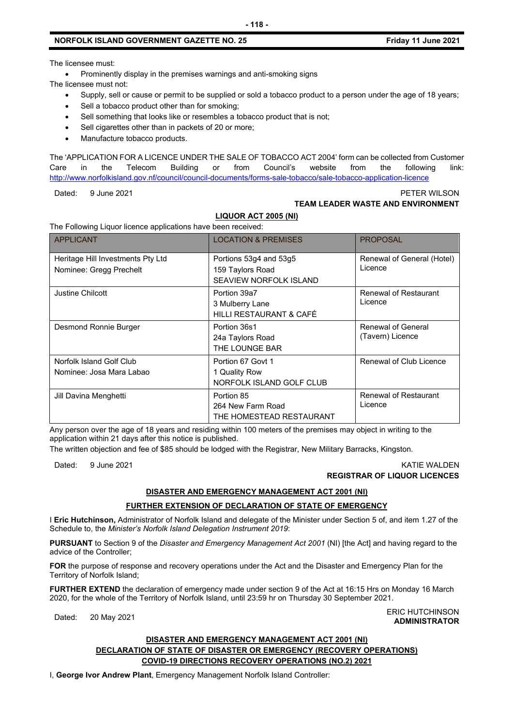#### **NORFOLK ISLAND GOVERNMENT GAZETTE NO. 25 Friday 11 June 2021**

The licensee must:

• Prominently display in the premises warnings and anti-smoking signs

The licensee must not:

- Supply, sell or cause or permit to be supplied or sold a tobacco product to a person under the age of 18 years;
- Sell a tobacco product other than for smoking;
- Sell something that looks like or resembles a tobacco product that is not:
- Sell cigarettes other than in packets of 20 or more;
- Manufacture tobacco products.

The 'APPLICATION FOR A LICENCE UNDER THE SALE OF TOBACCO ACT 2004' form can be collected from Customer Care in the Telecom Building or from Council's website from the following link: <http://www.norfolkisland.gov.nf/council/council-documents/forms-sale-tobacco/sale-tobacco-application-licence>

Dated: 9 June 2021 PETER WILSON

## **TEAM LEADER WASTE AND ENVIRONMENT**

#### **LIQUOR ACT 2005 (NI)**

The Following Liquor licence applications have been received:

| <b>APPLICANT</b>                                                                     | <b>LOCATION &amp; PREMISES</b>                                       | <b>PROPOSAL</b>                        |
|--------------------------------------------------------------------------------------|----------------------------------------------------------------------|----------------------------------------|
| Heritage Hill Investments Pty Ltd<br>Nominee: Gregg Prechelt                         | Portions 53g4 and 53g5<br>159 Taylors Road<br>SEAVIEW NORFOLK ISLAND | Renewal of General (Hotel)<br>Licence  |
| Justine Chilcott                                                                     | Portion 39a7<br>3 Mulberry Lane<br>HILLI RESTAURANT & CAFÉ           | Renewal of Restaurant<br>Licence       |
| Desmond Ronnie Burger                                                                | Portion 36s1<br>24a Taylors Road<br>THE LOUNGE BAR                   | Renewal of General<br>(Tavern) Licence |
| Norfolk Island Golf Club<br>Nominee: Josa Mara Labao                                 | Portion 67 Govt 1<br>1 Quality Row<br>NORFOLK ISLAND GOLF CLUB       | Renewal of Club Licence                |
| Jill Davina Menghetti<br>Portion 85<br>264 New Farm Road<br>THE HOMESTEAD RESTAURANT |                                                                      | Renewal of Restaurant<br>Licence       |

Any person over the age of 18 years and residing within 100 meters of the premises may object in writing to the application within 21 days after this notice is published.

The written objection and fee of \$85 should be lodged with the Registrar, New Military Barracks, Kingston.

#### Dated: 9 June 2021 KATIE WALDEN **REGISTRAR OF LIQUOR LICENCES**

#### **DISASTER AND EMERGENCY MANAGEMENT ACT 2001 (NI)**

#### **FURTHER EXTENSION OF DECLARATION OF STATE OF EMERGENCY**

I **Eric Hutchinson,** Administrator of Norfolk Island and delegate of the Minister under Section 5 of, and item 1.27 of the Schedule to, the *Minister's Norfolk Island Delegation Instrument 2019*:

**PURSUANT** to Section 9 of the *Disaster and Emergency Management Act 2001* (NI) [the Act] and having regard to the advice of the Controller;

**FOR** the purpose of response and recovery operations under the Act and the Disaster and Emergency Plan for the Territory of Norfolk Island;

**FURTHER EXTEND** the declaration of emergency made under section 9 of the Act at 16:15 Hrs on Monday 16 March 2020, for the whole of the Territory of Norfolk Island, until 23:59 hr on Thursday 30 September 2021.

Dated: 20 May 2021 ERIC HUTCHINSON **ADMINISTRATOR**

#### **DISASTER AND EMERGENCY MANAGEMENT ACT 2001 (NI)**

**DECLARATION OF STATE OF DISASTER OR EMERGENCY (RECOVERY OPERATIONS) COVID-19 DIRECTIONS RECOVERY OPERATIONS (NO.2) 2021**

I, **George Ivor Andrew Plant**, Emergency Management Norfolk Island Controller: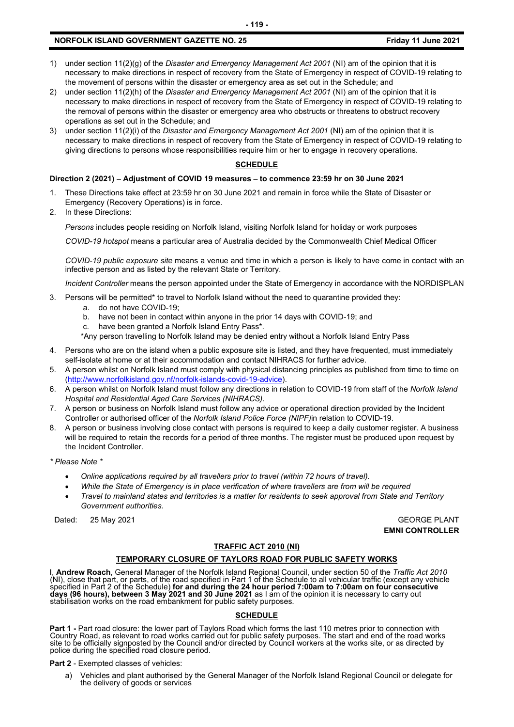#### **NORFOLK ISLAND GOVERNMENT GAZETTE NO. 25 Friday 11 June 2021**

- 1) under section 11(2)(g) of the *Disaster and Emergency Management Act 2001* (NI) am of the opinion that it is necessary to make directions in respect of recovery from the State of Emergency in respect of COVID-19 relating to the movement of persons within the disaster or emergency area as set out in the Schedule; and
- 2) under section 11(2)(h) of the *Disaster and Emergency Management Act 2001* (NI) am of the opinion that it is necessary to make directions in respect of recovery from the State of Emergency in respect of COVID-19 relating to the removal of persons within the disaster or emergency area who obstructs or threatens to obstruct recovery operations as set out in the Schedule; and
- 3) under section 11(2)(i) of the *Disaster and Emergency Management Act 2001* (NI) am of the opinion that it is necessary to make directions in respect of recovery from the State of Emergency in respect of COVID-19 relating to giving directions to persons whose responsibilities require him or her to engage in recovery operations.

#### **SCHEDULE**

#### **Direction 2 (2021) – Adjustment of COVID 19 measures – to commence 23:59 hr on 30 June 2021**

- 1. These Directions take effect at 23:59 hr on 30 June 2021 and remain in force while the State of Disaster or Emergency (Recovery Operations) is in force.
- 2. In these Directions:

*Persons* includes people residing on Norfolk Island, visiting Norfolk Island for holiday or work purposes

*COVID-19 hotspot* means a particular area of Australia decided by the Commonwealth Chief Medical Officer

*COVID-19 public exposure site* means a venue and time in which a person is likely to have come in contact with an infective person and as listed by the relevant State or Territory.

*Incident Controller* means the person appointed under the State of Emergency in accordance with the NORDISPLAN

- 3. Persons will be permitted\* to travel to Norfolk Island without the need to quarantine provided they:
	- a. do not have COVID-19;
	- b. have not been in contact within anyone in the prior 14 days with COVID-19; and
	- c. have been granted a Norfolk Island Entry Pass\*.

\*Any person travelling to Norfolk Island may be denied entry without a Norfolk Island Entry Pass

- 4. Persons who are on the island when a public exposure site is listed, and they have frequented, must immediately self-isolate at home or at their accommodation and contact NIHRACS for further advice.
- 5. A person whilst on Norfolk Island must comply with physical distancing principles as published from time to time on [\(http://www.norfolkisland.gov.nf/norfolk-islands-covid-19-advice\)](http://www.norfolkisland.gov.nf/norfolk-islands-covid-19-advice).
- 6. A person whilst on Norfolk Island must follow any directions in relation to COVID-19 from staff of the *Norfolk Island Hospital and Residential Aged Care Services (NIHRACS).*
- 7. A person or business on Norfolk Island must follow any advice or operational direction provided by the Incident Controller or authorised officer of the *Norfolk Island Police Force (NIPF)*in relation to COVID-19.
- 8. A person or business involving close contact with persons is required to keep a daily customer register. A business will be required to retain the records for a period of three months. The register must be produced upon request by the Incident Controller.

*\* Please Note \** 

- *Online applications required by all travellers prior to travel (within 72 hours of travel).*
- *While the State of Emergency is in place verification of where travellers are from will be required*
- *Travel to mainland states and territories is a matter for residents to seek approval from State and Territory Government authorities.*

Dated: 25 May 2021 2008 12:00 12:00 12:00 12:00 12:00 12:00 12:00 12:00 12:00 12:00 12:00 12:00 12:00 12:00 12:00 12:00 12:00 12:00 12:00 12:00 12:00 12:00 12:00 12:00 12:00 12:00 12:00 12:00 12:00 12:00 12:00 12:00 12:00

**EMNI CONTROLLER**

#### **TRAFFIC ACT 2010 (NI)**

#### **TEMPORARY CLOSURE OF TAYLORS ROAD FOR PUBLIC SAFETY WORKS**

I, **Andrew Roach**, General Manager of the Norfolk Island Regional Council, under section 50 of the *Traffic Act 2010* (NI), close that part, or parts, of the road specified in Part 1 of the Schedule to all vehicular traffic (except any vehicle<br>specified in Part 2 of the Schedule) **for and during the 24 hour period 7:00am to 7:00am on four days (96 hours), between 3 May 2021 and 30 June 2021** as I am of the opinion it is necessary to carry out<br>stabilisation works on the road embankment for public safety purposes.

#### **SCHEDULE**

Part 1 - Part road closure: the lower part of Taylors Road which forms the last 110 metres prior to connection with<br>Country Road, as relevant to road works carried out for public safety purposes. The start and end of the r

**Part 2** - Exempted classes of vehicles:

a) Vehicles and plant authorised by the General Manager of the Norfolk Island Regional Council or delegate for the delivery of goods or services